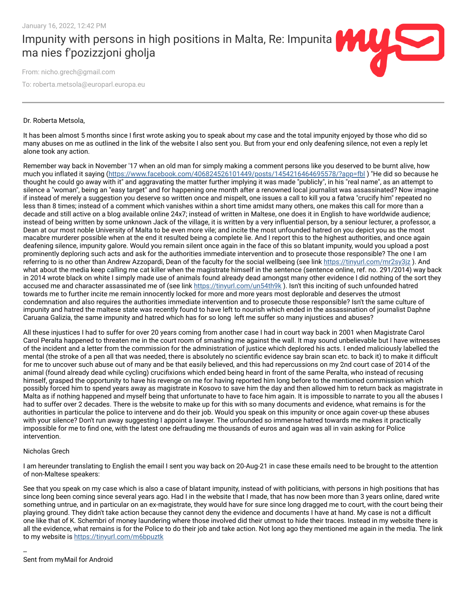Impunity with persons in high positions in Malta, Re: Impunita ma nies f'pozizzjoni gholja

From: nicho.grech@gmail.com

To: roberta.metsola@europarl.europa.eu

## Dr. Roberta Metsola,

It has been almost 5 months since I first wrote asking you to speak about my case and the total impunity enjoyed by those who did so many abuses on me as outlined in the link of the website I also sent you. But from your end only deafening silence, not even a reply let alone took any action.

Remember way back in November '17 when an old man for simply making a comment persons like you deserved to be burnt alive, how much you inflated it saying (https://www.facebook.com/406824526101449/posts/1454216464695578/?app=fbl) "He did so because he thought he could go away with it" and aggravating the matter further implying it was made "publicly", in his "real name", as an attempt to silence a "woman", being an "easy target" and for happening one month after a renowned local journalist was assassinated? Now imagine if instead of merely a suggestion you deserve so written once and mispelt, one issues a call to kill you a fatwa "crucify him" repeated no less than 8 times; instead of a comment which vanishes within a short time amidst many others, one makes this call for more than a decade and still active on a blog available online 24x7; instead of written in Maltese, one does it in English to have worldwide audience; instead of being written by some unknown Jack of the village, it is written by a very influential person, by a seniour lecturer, a professor, a Dean at our most noble University of Malta to be even more vile; and incite the most unfounded hatred on you depict you as the most macabre murderer possible when at the end it resulted being a complete lie. And I report this to the highest authorities, and once again deafening silence, impunity galore. Would you remain silent once again in the face of this so blatant impunity, would you upload a post prominently deploring such acts and ask for the authorities immediate intervention and to prosecute those responsible? The one I am referring to is no other than Andrew Azzopardi, Dean of the faculty for the social wellbeing (see link https://tinyurl.com/mr2sy3jz). And what about the media keep calling me cat killer when the magistrate himself in the sentence (sentence online, ref. no. 291/2014) way back in 2014 wrote black on white I simply made use of animals found already dead amongst many other evidence I did nothing of the sort they accused me and character assassinated me of (see link https://tinyurl.com/un54th9k). Isn't this inciting of such unfounded hatred towards me to further incite me remain innocently locked for more and more years most deplorable and deserves the utmost condemnation and also requires the authorities immediate intervention and to prosecute those responsible? Isn't the same culture of impunity and hatred the maltese state was recently found to have left to nourish which ended in the assassination of journalist Daphne Caruana Galizia, the same impunity and hatred which has for so long left me suffer so many injustices and abuses?

All these injustices I had to suffer for over 20 years coming from another case I had in court way back in 2001 when Magistrate Carol Carol Peralta happened to threaten me in the court room of smashing me against the wall. It may sound unbelievable but I have witnesses of the incident and a letter from the commission for the administration of justice which deplored his acts. I ended maliciously labelled the mental (the stroke of a pen all that was needed, there is absolutely no scientific evidence say brain scan etc. to back it) to make it difficult for me to uncover such abuse out of many and be that easily believed, and this had repercussions on my 2nd court case of 2014 of the animal (found already dead while cycling) crucifixions which ended being heard in front of the same Peralta, who instead of recusing himself, grasped the opportunity to have his revenge on me for having reported him long before to the mentioned commission which possibly forced him to spend years away as magistrate in Kosovo to save him the day and then allowed him to return back as magistrate in Malta as if nothing happened and myself being that unfortunate to have to face him again. It is impossible to narrate to you all the abuses I had to suffer over 2 decades. There is the website to make up for this with so many documents and evidence, what remains is for the authorities in particular the police to intervene and do their job. Would you speak on this impunity or once again cover-up these abuses with your silence? Don't run away suggesting I appoint a lawyer. The unfounded so immense hatred towards me makes it practically impossible for me to find one, with the latest one defrauding me thousands of euros and again was all in vain asking for Police intervention.

## Nicholas Grech

I am hereunder translating to English the email I sent you way back on 20-Aug-21 in case these emails need to be brought to the attention of non-Maltese speakers:

See that you speak on my case which is also a case of blatant impunity, instead of with politicians, with persons in high positions that has since long been coming since several years ago. Had I in the website that I made, that has now been more than 3 years online, dared write something untrue, and in particular on an ex-magistrate, they would have for sure since long dragged me to court, with the court being their playing ground. They didn't take action because they cannot deny the evidence and documents I have at hand. My case is not a difficult one like that of K. Schembri of money laundering where those involved did their utmost to hide their traces. Instead in my website there is all the evidence, what remains is for the Police to do their job and take action. Not long ago they mentioned me again in the media. The link to my website is<https://tinyurl.com/m6bpuztk>